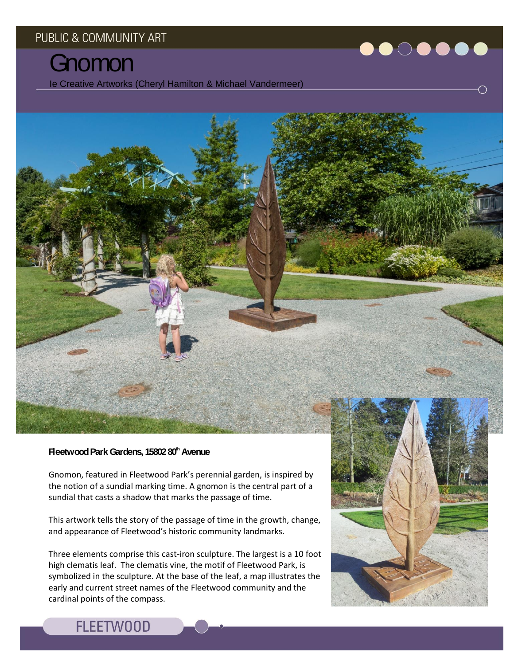# **Gnomon**

Ie Creative Artworks (Cheryl Hamilton & Michael Vandermeer)

### **Fleetwood Park Gardens, 15802 80th Avenue**

Gnomon, featured in Fleetwood Park's perennial garden, is inspired by the notion of a sundial marking time. A gnomon is the central part of a sundial that casts a shadow that marks the passage of time.

This artwork tells the story of the passage of time in the growth, change, and appearance of Fleetwood's historic community landmarks.

Three elements comprise this cast-iron sculpture. The largest is a 10 foot high clematis leaf. The clematis vine, the motif of Fleetwood Park, is symbolized in the sculpture. At the base of the leaf, a map illustrates the early and current street names of the Fleetwood community and the cardinal points of the compass.





## **FLEETWOOD**